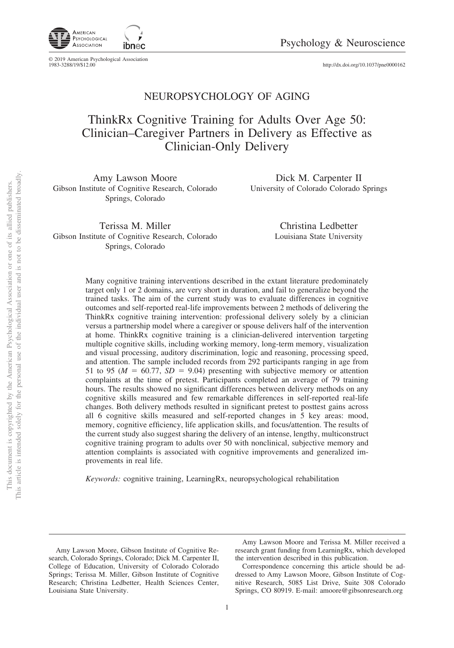

© 2019 American Psychological Association<br>1983-3288/19/\$12.00 http://dx.doi.org[/10.1037/pne0000162](http://dx.doi.org/10.1037/pne0000162)

## NEUROPSYCHOLOGY OF AGING

# ThinkRx Cognitive Training for Adults Over Age 50: Clinician–Caregiver Partners in Delivery as Effective as Clinician-Only Delivery

Amy Lawson Moore Gibson Institute of Cognitive Research, Colorado Springs, Colorado

Dick M. Carpenter II University of Colorado Colorado Springs

Terissa M. Miller Gibson Institute of Cognitive Research, Colorado Springs, Colorado

Christina Ledbetter Louisiana State University

Many cognitive training interventions described in the extant literature predominately target only 1 or 2 domains, are very short in duration, and fail to generalize beyond the trained tasks. The aim of the current study was to evaluate differences in cognitive outcomes and self-reported real-life improvements between 2 methods of delivering the ThinkRx cognitive training intervention: professional delivery solely by a clinician versus a partnership model where a caregiver or spouse delivers half of the intervention at home. ThinkRx cognitive training is a clinician-delivered intervention targeting multiple cognitive skills, including working memory, long-term memory, visualization and visual processing, auditory discrimination, logic and reasoning, processing speed, and attention. The sample included records from 292 participants ranging in age from 51 to 95 ( $M = 60.77$ ,  $SD = 9.04$ ) presenting with subjective memory or attention complaints at the time of pretest. Participants completed an average of 79 training hours. The results showed no significant differences between delivery methods on any cognitive skills measured and few remarkable differences in self-reported real-life changes. Both delivery methods resulted in significant pretest to posttest gains across all 6 cognitive skills measured and self-reported changes in 5 key areas: mood, memory, cognitive efficiency, life application skills, and focus/attention. The results of the current study also suggest sharing the delivery of an intense, lengthy, multiconstruct cognitive training program to adults over 50 with nonclinical, subjective memory and attention complaints is associated with cognitive improvements and generalized improvements in real life.

*Keywords:* cognitive training, LearningRx, neuropsychological rehabilitation

Amy Lawson Moore, Gibson Institute of Cognitive Research, Colorado Springs, Colorado; Dick M. Carpenter II, College of Education, University of Colorado Colorado Springs; Terissa M. Miller, Gibson Institute of Cognitive Research; Christina Ledbetter, Health Sciences Center, Louisiana State University.

Amy Lawson Moore and Terissa M. Miller received a research grant funding from LearningRx, which developed the intervention described in this publication.

Correspondence concerning this article should be addressed to Amy Lawson Moore, Gibson Institute of Cognitive Research, 5085 List Drive, Suite 308 Colorado Springs, CO 80919. E-mail: [amoore@gibsonresearch.org](mailto:amoore@gibsonresearch.org)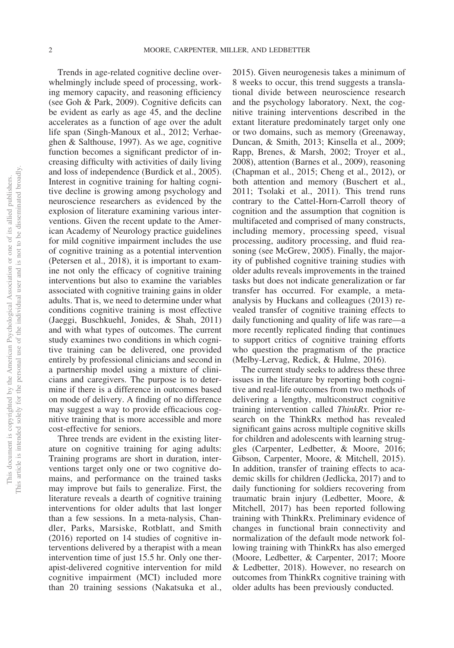Trends in age-related cognitive decline overwhelmingly include speed of processing, working memory capacity, and reasoning efficiency (see Goh & Park, 2009). Cognitive deficits can be evident as early as age 45, and the decline accelerates as a function of age over the adult life span (Singh-Manoux et al., 2012; Verhaeghen & Salthouse, 1997). As we age, cognitive function becomes a significant predictor of increasing difficulty with activities of daily living and loss of independence (Burdick et al., 2005). Interest in cognitive training for halting cognitive decline is growing among psychology and neuroscience researchers as evidenced by the explosion of literature examining various interventions. Given the recent update to the American Academy of Neurology practice guidelines for mild cognitive impairment includes the use of cognitive training as a potential intervention (Petersen et al., 2018), it is important to examine not only the efficacy of cognitive training interventions but also to examine the variables associated with cognitive training gains in older adults. That is, we need to determine under what conditions cognitive training is most effective (Jaeggi, Buschkuehl, Jonides, & Shah, 2011) and with what types of outcomes. The current study examines two conditions in which cognitive training can be delivered, one provided entirely by professional clinicians and second in a partnership model using a mixture of clinicians and caregivers. The purpose is to determine if there is a difference in outcomes based on mode of delivery. A finding of no difference may suggest a way to provide efficacious cognitive training that is more accessible and more cost-effective for seniors.

Three trends are evident in the existing literature on cognitive training for aging adults: Training programs are short in duration, interventions target only one or two cognitive domains, and performance on the trained tasks may improve but fails to generalize. First, the literature reveals a dearth of cognitive training interventions for older adults that last longer than a few sessions. In a meta-nalysis, Chandler, Parks, Marsiske, Rotblatt, and Smith (2016) reported on 14 studies of cognitive interventions delivered by a therapist with a mean intervention time of just 15.5 hr. Only one therapist-delivered cognitive intervention for mild cognitive impairment (MCI) included more than 20 training sessions (Nakatsuka et al.,

2015). Given neurogenesis takes a minimum of 8 weeks to occur, this trend suggests a translational divide between neuroscience research and the psychology laboratory. Next, the cognitive training interventions described in the extant literature predominately target only one or two domains, such as memory (Greenaway, Duncan, & Smith, 2013; Kinsella et al., 2009; Rapp, Brenes, & Marsh, 2002; Troyer et al., 2008), attention (Barnes et al., 2009), reasoning (Chapman et al., 2015; Cheng et al., 2012), or both attention and memory (Buschert et al., 2011; Tsolaki et al., 2011). This trend runs contrary to the Cattel-Horn-Carroll theory of cognition and the assumption that cognition is multifaceted and comprised of many constructs, including memory, processing speed, visual processing, auditory processing, and fluid reasoning (see McGrew, 2005). Finally, the majority of published cognitive training studies with older adults reveals improvements in the trained tasks but does not indicate generalization or far transfer has occurred. For example, a metaanalysis by Huckans and colleagues (2013) revealed transfer of cognitive training effects to daily functioning and quality of life was rare—a more recently replicated finding that continues to support critics of cognitive training efforts who question the pragmatism of the practice (Melby-Lervag, Redick, & Hulme, 2016).

The current study seeks to address these three issues in the literature by reporting both cognitive and real-life outcomes from two methods of delivering a lengthy, multiconstruct cognitive training intervention called *ThinkRx*. Prior research on the ThinkRx method has revealed significant gains across multiple cognitive skills for children and adolescents with learning struggles (Carpenter, Ledbetter, & Moore, 2016; Gibson, Carpenter, Moore, & Mitchell, 2015). In addition, transfer of training effects to academic skills for children (Jedlicka, 2017) and to daily functioning for soldiers recovering from traumatic brain injury (Ledbetter, Moore, & Mitchell, 2017) has been reported following training with ThinkRx. Preliminary evidence of changes in functional brain connectivity and normalization of the default mode network following training with ThinkRx has also emerged (Moore, Ledbetter, & Carpenter, 2017; Moore & Ledbetter, 2018). However, no research on outcomes from ThinkRx cognitive training with older adults has been previously conducted.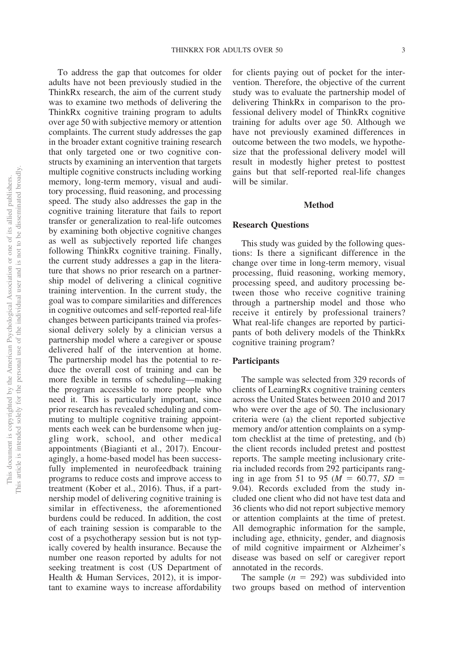adults have not been previously studied in the ThinkRx research, the aim of the current study was to examine two methods of delivering the ThinkRx cognitive training program to adults over age 50 with subjective memory or attention complaints. The current study addresses the gap in the broader extant cognitive training research that only targeted one or two cognitive constructs by examining an intervention that targets multiple cognitive constructs including working memory, long-term memory, visual and auditory processing, fluid reasoning, and processing speed. The study also addresses the gap in the cognitive training literature that fails to report transfer or generalization to real-life outcomes by examining both objective cognitive changes as well as subjectively reported life changes following ThinkRx cognitive training. Finally, the current study addresses a gap in the literature that shows no prior research on a partnership model of delivering a clinical cognitive training intervention. In the current study, the goal was to compare similarities and differences in cognitive outcomes and self-reported real-life changes between participants trained via professional delivery solely by a clinician versus a partnership model where a caregiver or spouse delivered half of the intervention at home. The partnership model has the potential to reduce the overall cost of training and can be more flexible in terms of scheduling—making the program accessible to more people who need it. This is particularly important, since prior research has revealed scheduling and commuting to multiple cognitive training appointments each week can be burdensome when juggling work, school, and other medical appointments (Biagianti et al., 2017). Encouragingly, a home-based model has been successfully implemented in neurofeedback training programs to reduce costs and improve access to treatment (Kober et al., 2016). Thus, if a partnership model of delivering cognitive training is similar in effectiveness, the aforementioned burdens could be reduced. In addition, the cost of each training session is comparable to the cost of a psychotherapy session but is not typically covered by health insurance. Because the number one reason reported by adults for not seeking treatment is cost [\(US Department of](#page-15-0) [Health & Human Services, 2012\)](#page-15-0), it is important to examine ways to increase affordability

To address the gap that outcomes for older

for clients paying out of pocket for the intervention. Therefore, the objective of the current study was to evaluate the partnership model of delivering ThinkRx in comparison to the professional delivery model of ThinkRx cognitive training for adults over age 50. Although we have not previously examined differences in outcome between the two models, we hypothesize that the professional delivery model will result in modestly higher pretest to posttest gains but that self-reported real-life changes will be similar.

#### **Method**

### **Research Questions**

This study was guided by the following questions: Is there a significant difference in the change over time in long-term memory, visual processing, fluid reasoning, working memory, processing speed, and auditory processing between those who receive cognitive training through a partnership model and those who receive it entirely by professional trainers? What real-life changes are reported by participants of both delivery models of the ThinkRx cognitive training program?

#### **Participants**

The sample was selected from 329 records of clients of LearningRx cognitive training centers across the United States between 2010 and 2017 who were over the age of 50. The inclusionary criteria were (a) the client reported subjective memory and/or attention complaints on a symptom checklist at the time of pretesting, and (b) the client records included pretest and posttest reports. The sample meeting inclusionary criteria included records from 292 participants ranging in age from 51 to 95 ( $M = 60.77$ ,  $SD =$ 9.04). Records excluded from the study included one client who did not have test data and 36 clients who did not report subjective memory or attention complaints at the time of pretest. All demographic information for the sample, including age, ethnicity, gender, and diagnosis of mild cognitive impairment or Alzheimer's disease was based on self or caregiver report annotated in the records.

The sample  $(n = 292)$  was subdivided into two groups based on method of intervention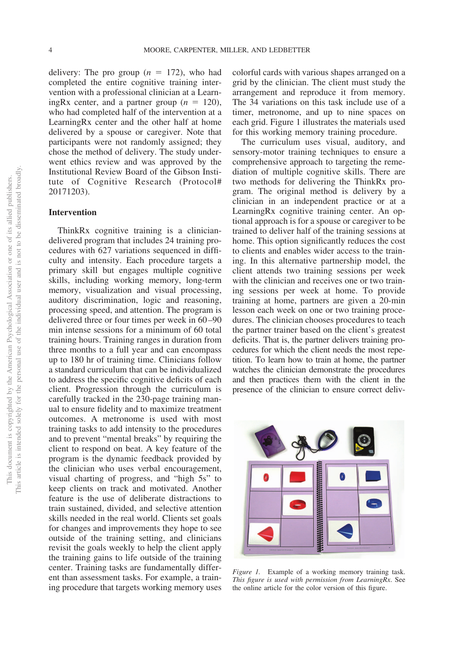delivery: The pro group  $(n = 172)$ , who had completed the entire cognitive training intervention with a professional clinician at a LearningRx center, and a partner group  $(n = 120)$ , who had completed half of the intervention at a LearningRx center and the other half at home delivered by a spouse or caregiver. Note that participants were not randomly assigned; they chose the method of delivery. The study underwent ethics review and was approved by the Institutional Review Board of the Gibson Institute of Cognitive Research (Protocol# 20171203).

## **Intervention**

ThinkRx cognitive training is a cliniciandelivered program that includes 24 training procedures with 627 variations sequenced in difficulty and intensity. Each procedure targets a primary skill but engages multiple cognitive skills, including working memory, long-term memory, visualization and visual processing, auditory discrimination, logic and reasoning, processing speed, and attention. The program is delivered three or four times per week in 60–90 min intense sessions for a minimum of 60 total training hours. Training ranges in duration from three months to a full year and can encompass up to 180 hr of training time. Clinicians follow a standard curriculum that can be individualized to address the specific cognitive deficits of each client. Progression through the curriculum is carefully tracked in the 230-page training manual to ensure fidelity and to maximize treatment outcomes. A metronome is used with most training tasks to add intensity to the procedures and to prevent "mental breaks" by requiring the client to respond on beat. A key feature of the program is the dynamic feedback provided by the clinician who uses verbal encouragement, visual charting of progress, and "high 5s" to keep clients on track and motivated. Another feature is the use of deliberate distractions to train sustained, divided, and selective attention skills needed in the real world. Clients set goals for changes and improvements they hope to see outside of the training setting, and clinicians revisit the goals weekly to help the client apply the training gains to life outside of the training center. Training tasks are fundamentally different than assessment tasks. For example, a training procedure that targets working memory uses

colorful cards with various shapes arranged on a grid by the clinician. The client must study the arrangement and reproduce it from memory. The 34 variations on this task include use of a timer, metronome, and up to nine spaces on each grid. Figure 1 illustrates the materials used for this working memory training procedure.

The curriculum uses visual, auditory, and sensory-motor training techniques to ensure a comprehensive approach to targeting the remediation of multiple cognitive skills. There are two methods for delivering the ThinkRx program. The original method is delivery by a clinician in an independent practice or at a LearningRx cognitive training center. An optional approach is for a spouse or caregiver to be trained to deliver half of the training sessions at home. This option significantly reduces the cost to clients and enables wider access to the training. In this alternative partnership model, the client attends two training sessions per week with the clinician and receives one or two training sessions per week at home. To provide training at home, partners are given a 20-min lesson each week on one or two training procedures. The clinician chooses procedures to teach the partner trainer based on the client's greatest deficits. That is, the partner delivers training procedures for which the client needs the most repetition. To learn how to train at home, the partner watches the clinician demonstrate the procedures and then practices them with the client in the presence of the clinician to ensure correct deliv-



*Figure 1.* Example of a working memory training task. *This figure is used with permission from LearningRx*. See the online article for the color version of this figure.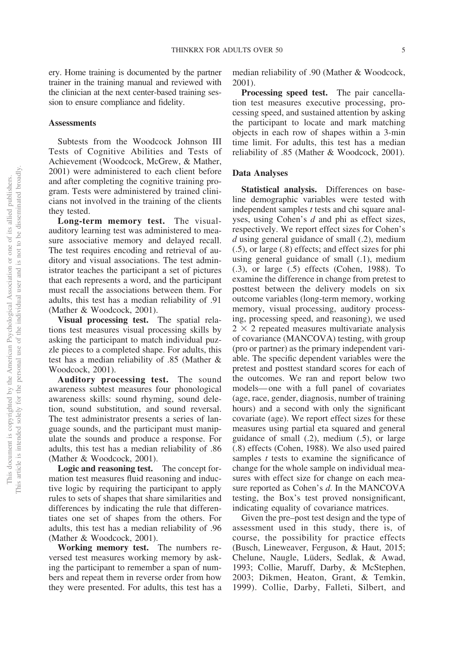ery. Home training is documented by the partner trainer in the training manual and reviewed with the clinician at the next center-based training session to ensure compliance and fidelity.

#### **Assessments**

Subtests from the Woodcock Johnson III Tests of Cognitive Abilities and Tests of Achievement (Woodcock, McGrew, & Mather, 2001) were administered to each client before and after completing the cognitive training program. Tests were administered by trained clinicians not involved in the training of the clients they tested.

**Long-term memory test.** The visualauditory learning test was administered to measure associative memory and delayed recall. The test requires encoding and retrieval of auditory and visual associations. The test administrator teaches the participant a set of pictures that each represents a word, and the participant must recall the associations between them. For adults, this test has a median reliability of .91 (Mather & Woodcock, 2001).

**Visual processing test.** The spatial relations test measures visual processing skills by asking the participant to match individual puzzle pieces to a completed shape. For adults, this test has a median reliability of .85 (Mather & Woodcock, 2001).

**Auditory processing test.** The sound awareness subtest measures four phonological awareness skills: sound rhyming, sound deletion, sound substitution, and sound reversal. The test administrator presents a series of language sounds, and the participant must manipulate the sounds and produce a response. For adults, this test has a median reliability of .86 (Mather & Woodcock, 2001).

**Logic and reasoning test.** The concept formation test measures fluid reasoning and inductive logic by requiring the participant to apply rules to sets of shapes that share similarities and differences by indicating the rule that differentiates one set of shapes from the others. For adults, this test has a median reliability of .96 (Mather & Woodcock, 2001).

**Working memory test.** The numbers reversed test measures working memory by asking the participant to remember a span of numbers and repeat them in reverse order from how they were presented. For adults, this test has a median reliability of .90 (Mather & Woodcock, 2001).

**Processing speed test.** The pair cancellation test measures executive processing, processing speed, and sustained attention by asking the participant to locate and mark matching objects in each row of shapes within a 3-min time limit. For adults, this test has a median reliability of .85 (Mather & Woodcock, 2001).

#### **Data Analyses**

**Statistical analysis.** Differences on baseline demographic variables were tested with independent samples *t* tests and chi square analyses, using Cohen's *d* and phi as effect sizes, respectively. We report effect sizes for Cohen's *d* using general guidance of small (.2), medium (.5), or large (.8) effects; and effect sizes for phi using general guidance of small (.1), medium (.3), or large (.5) effects (Cohen, 1988). To examine the difference in change from pretest to posttest between the delivery models on six outcome variables (long-term memory, working memory, visual processing, auditory processing, processing speed, and reasoning), we used  $2 \times 2$  repeated measures multivariate analysis of covariance (MANCOVA) testing, with group (pro or partner) as the primary independent variable. The specific dependent variables were the pretest and posttest standard scores for each of the outcomes. We ran and report below two models—one with a full panel of covariates (age, race, gender, diagnosis, number of training hours) and a second with only the significant covariate (age). We report effect sizes for these measures using partial eta squared and general guidance of small (.2), medium (.5), or large (.8) effects (Cohen, 1988). We also used paired samples *t* tests to examine the significance of change for the whole sample on individual measures with effect size for change on each measure reported as Cohen's *d*. In the MANCOVA testing, the Box's test proved nonsignificant, indicating equality of covariance matrices.

Given the pre–post test design and the type of assessment used in this study, there is, of course, the possibility for practice effects (Busch, Lineweaver, Ferguson, & Haut, 2015; Chelune, Naugle, Lüders, Sedlak, & Awad, 1993; Collie, Maruff, Darby, & McStephen, 2003; Dikmen, Heaton, Grant, & Temkin, 1999). Collie, Darby, Falleti, Silbert, and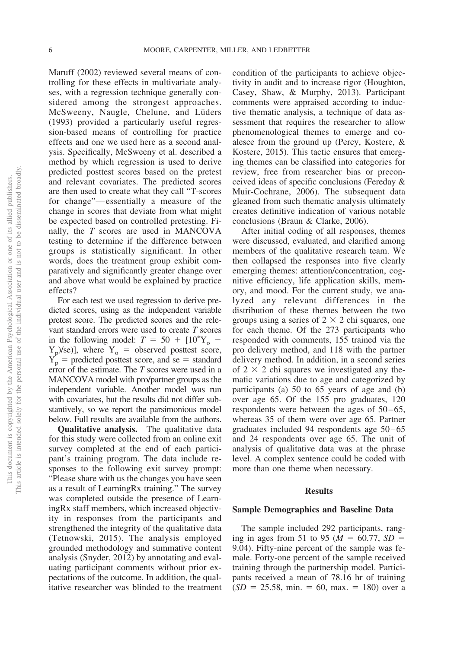Maruff (2002) reviewed several means of controlling for these effects in multivariate analyses, with a regression technique generally considered among the strongest approaches. McSweeny, Naugle, Chelune, and Lüders (1993) provided a particularly useful regression-based means of controlling for practice effects and one we used here as a second analysis. Specifically, McSweeny et al. described a method by which regression is used to derive predicted posttest scores based on the pretest and relevant covariates. The predicted scores are then used to create what they call "T-scores for change"—essentially a measure of the change in scores that deviate from what might be expected based on controlled pretesting. Finally, the *T* scores are used in MANCOVA testing to determine if the difference between groups is statistically significant. In other words, does the treatment group exhibit comparatively and significantly greater change over and above what would be explained by practice effects?

For each test we used regression to derive predicted scores, using as the independent variable pretest score. The predicted scores and the relevant standard errors were used to create *T* scores in the following model:  $T = 50 + [10^*Y_0 Y_p$ //se)], where  $Y_o$  = observed posttest score,  $Y_p$  = predicted posttest score, and se = standard error of the estimate. The *T* scores were used in a MANCOVA model with pro/partner groups as the independent variable. Another model was run with covariates, but the results did not differ substantively, so we report the parsimonious model below. Full results are available from the authors.

**Qualitative analysis.** The qualitative data for this study were collected from an online exit survey completed at the end of each participant's training program. The data include responses to the following exit survey prompt: "Please share with us the changes you have seen as a result of LearningRx training." The survey was completed outside the presence of LearningRx staff members, which increased objectivity in responses from the participants and strengthened the integrity of the qualitative data (Tetnowski, 2015). The analysis employed grounded methodology and summative content analysis (Snyder, 2012) by annotating and evaluating participant comments without prior expectations of the outcome. In addition, the qualitative researcher was blinded to the treatment condition of the participants to achieve objectivity in audit and to increase rigor (Houghton, Casey, Shaw, & Murphy, 2013). Participant comments were appraised according to inductive thematic analysis, a technique of data assessment that requires the researcher to allow phenomenological themes to emerge and coalesce from the ground up (Percy, Kostere, & Kostere, 2015). This tactic ensures that emerging themes can be classified into categories for review, free from researcher bias or preconceived ideas of specific conclusions (Fereday & Muir-Cochrane, 2006). The subsequent data gleaned from such thematic analysis ultimately creates definitive indication of various notable conclusions (Braun & Clarke, 2006).

After initial coding of all responses, themes were discussed, evaluated, and clarified among members of the qualitative research team. We then collapsed the responses into five clearly emerging themes: attention/concentration, cognitive efficiency, life application skills, memory, and mood. For the current study, we analyzed any relevant differences in the distribution of these themes between the two groups using a series of  $2 \times 2$  chi squares, one for each theme. Of the 273 participants who responded with comments, 155 trained via the pro delivery method, and 118 with the partner delivery method. In addition, in a second series of  $2 \times 2$  chi squares we investigated any thematic variations due to age and categorized by participants (a) 50 to 65 years of age and (b) over age 65. Of the 155 pro graduates, 120 respondents were between the ages of 50–65, whereas 35 of them were over age 65. Partner graduates included 94 respondents age 50–65 and 24 respondents over age 65. The unit of analysis of qualitative data was at the phrase level. A complex sentence could be coded with more than one theme when necessary.

#### **Results**

#### **Sample Demographics and Baseline Data**

The sample included 292 participants, ranging in ages from 51 to 95 ( $M = 60.77$ ,  $SD =$ 9.04). Fifty-nine percent of the sample was female. Forty-one percent of the sample received training through the partnership model. Participants received a mean of 78.16 hr of training  $(SD = 25.58, \text{ min.} = 60, \text{ max.} = 180)$  over a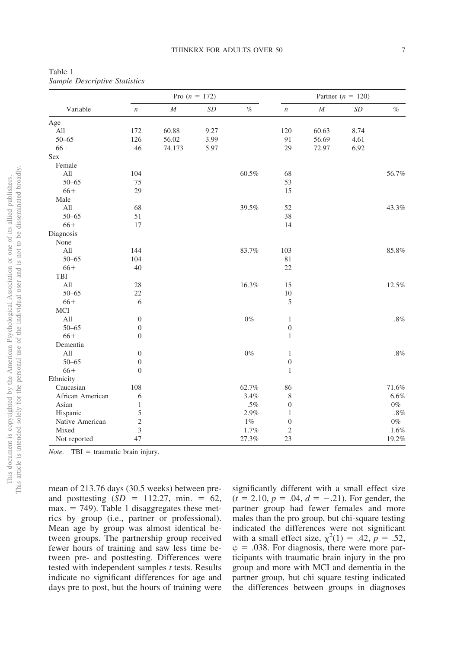$= 172$ ) Partner (*n* = 120)

Pro  $(n = 172)$ 

|                         | 7                       |  |
|-------------------------|-------------------------|--|
| <b>I</b> charc          | ć                       |  |
|                         |                         |  |
|                         |                         |  |
|                         | č                       |  |
|                         | 100 <sup>4</sup><br>í   |  |
| ă<br>j<br>ł             | .<br>.<br>.<br><b>1</b> |  |
|                         |                         |  |
| i                       | in the C                |  |
| C V                     |                         |  |
| j                       | $\frac{1}{2}$           |  |
|                         |                         |  |
| Ē                       | s<br>C                  |  |
| Ċ<br>$\frac{1}{2}$<br>Ē | i                       |  |
|                         | <b>Second</b><br>ĺ      |  |

| Variable         | $\boldsymbol{n}$ | $\cal M$ | $\cal SD$ | $\%$   | $\boldsymbol{n}$ | $\cal M$ | $\cal SD$ | $\%$  |
|------------------|------------------|----------|-----------|--------|------------------|----------|-----------|-------|
| Age              |                  |          |           |        |                  |          |           |       |
| All              | 172              | 60.88    | 9.27      |        | 120              | 60.63    | 8.74      |       |
| $50 - 65$        | 126              | 56.02    | 3.99      |        | 91               | 56.69    | 4.61      |       |
| $66+$            | 46               | 74.173   | 5.97      |        | 29               | 72.97    | 6.92      |       |
| Sex              |                  |          |           |        |                  |          |           |       |
| Female           |                  |          |           |        |                  |          |           |       |
| All              | 104              |          |           | 60.5%  | 68               |          |           | 56.7% |
| $50 - 65$        | 75               |          |           |        | 53               |          |           |       |
| $66+$            | 29               |          |           |        | 15               |          |           |       |
| Male             |                  |          |           |        |                  |          |           |       |
| All              | 68               |          |           | 39.5%  | 52               |          |           | 43.3% |
| $50 - 65$        | 51               |          |           |        | 38               |          |           |       |
| $66+$            | 17               |          |           |        | 14               |          |           |       |
| Diagnosis        |                  |          |           |        |                  |          |           |       |
| None             |                  |          |           |        |                  |          |           |       |
| All              | 144              |          |           | 83.7%  | 103              |          |           | 85.8% |
| $50 - 65$        | 104              |          |           |        | 81               |          |           |       |
| $66+$            | 40               |          |           |        | 22               |          |           |       |
| TBI              |                  |          |           |        |                  |          |           |       |
| All              | 28               |          |           | 16.3%  | 15               |          |           | 12.5% |
| $50 - 65$        | 22               |          |           |        | 10               |          |           |       |
| $66+$            | 6                |          |           |        | 5                |          |           |       |
| MCI              |                  |          |           |        |                  |          |           |       |
| All              | $\boldsymbol{0}$ |          |           | $0\%$  | $\mathbf{1}$     |          |           | .8%   |
| $50 - 65$        | $\boldsymbol{0}$ |          |           |        | $\boldsymbol{0}$ |          |           |       |
| $66+$            | $\boldsymbol{0}$ |          |           |        | $\mathbf{1}$     |          |           |       |
| Dementia         |                  |          |           |        |                  |          |           |       |
| All              | $\boldsymbol{0}$ |          |           | $0\%$  | 1                |          |           | .8%   |
| $50 - 65$        | $\boldsymbol{0}$ |          |           |        | $\boldsymbol{0}$ |          |           |       |
| $66+$            | $\boldsymbol{0}$ |          |           |        | $\mathbf{1}$     |          |           |       |
| Ethnicity        |                  |          |           |        |                  |          |           |       |
| Caucasian        | 108              |          |           | 62.7%  | 86               |          |           | 71.6% |
| African American | 6                |          |           | 3.4%   | $\,$ 8 $\,$      |          |           | 6.6%  |
| Asian            | $\mathbf{1}$     |          |           | $.5\%$ | $\boldsymbol{0}$ |          |           | $0\%$ |
| Hispanic         | 5                |          |           | 2.9%   | 1                |          |           | .8%   |
| Native American  | $\overline{c}$   |          |           | $1\%$  | $\boldsymbol{0}$ |          |           | $0\%$ |
| Mixed            | $\overline{3}$   |          |           | 1.7%   | $\overline{c}$   |          |           | 1.6%  |

Not reported 47 27.3% 23 19.2%

Table 1 *Sample Descriptive Statistics*

*Note*. TBI = traumatic brain injury.

mean of 213.76 days (30.5 weeks) between preand posttesting  $(SD = 112.27, \text{min.} = 62,$  $max. = 749$ . Table 1 disaggregates these metrics by group (i.e., partner or professional). Mean age by group was almost identical between groups. The partnership group received fewer hours of training and saw less time between pre- and posttesting. Differences were tested with independent samples *t* tests. Results indicate no significant differences for age and days pre to post, but the hours of training were significantly different with a small effect size  $(t = 2.10, p = .04, d = -.21)$ . For gender, the partner group had fewer females and more males than the pro group, but chi-square testing indicated the differences were not significant with a small effect size,  $\chi^2(1) = .42$ ,  $p = .52$ ,  $\varphi = .038$ . For diagnosis, there were more participants with traumatic brain injury in the pro group and more with MCI and dementia in the partner group, but chi square testing indicated the differences between groups in diagnoses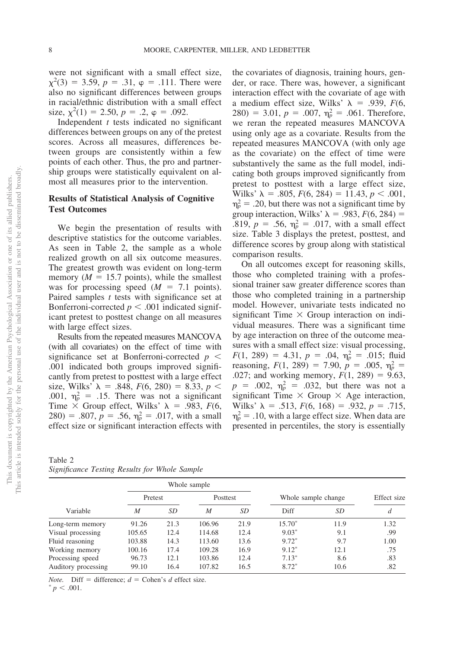were not significant with a small effect size,  $\chi^2(3) = 3.59, p = .31, \varphi = .111$ . There were also no significant differences between groups in racial/ethnic distribution with a small effect size,  $\chi^2(1) = 2.50$ ,  $p = .2$ ,  $\varphi = .092$ .

Independent *t* tests indicated no significant differences between groups on any of the pretest scores. Across all measures, differences between groups are consistently within a few points of each other. Thus, the pro and partnership groups were statistically equivalent on almost all measures prior to the intervention.

## **Results of Statistical Analysis of Cognitive Test Outcomes**

We begin the presentation of results with descriptive statistics for the outcome variables. As seen in [Table 2,](#page-7-0) the sample as a whole realized growth on all six outcome measures. The greatest growth was evident on long-term memory ( $M = 15.7$  points), while the smallest was for processing speed  $(M = 7.1 \text{ points})$ . Paired samples *t* tests with significance set at Bonferroni-corrected  $p < .001$  indicated significant pretest to posttest change on all measures with large effect sizes.

Results from the repeated measures MANCOVA (with all covariates) on the effect of time with significance set at Bonferroni-corrected *p* .001 indicated both groups improved significantly from pretest to posttest with a large effect size, Wilks'  $\lambda = .848$ ,  $F(6, 280) = 8.33$ ,  $p <$ .001,  $\eta_p^2 = .15$ . There was not a significant Time  $\times$  Group effect, Wilks'  $\lambda = .983, F(6,$  $(280) = .807, p = .56, \eta_p^2 = .017$ , with a small effect size or significant interaction effects with the covariates of diagnosis, training hours, gender, or race. There was, however, a significant interaction effect with the covariate of age with a medium effect size, Wilks'  $\lambda = .939, F(6,$ 280) = 3.01,  $p = .007$ ,  $\eta_p^2 = .061$ . Therefore, we reran the repeated measures MANCOVA using only age as a covariate. Results from the repeated measures MANCOVA (with only age as the covariate) on the effect of time were substantively the same as the full model, indicating both groups improved significantly from pretest to posttest with a large effect size, Wilks'  $\lambda = .805$ ,  $F(6, 284) = 11.43$ ,  $p < .001$ ,  $\eta_p^2$  = .20, but there was not a significant time by group interaction, Wilks'  $\lambda = .983, F(6, 284) =$ .819,  $p = .56$ ,  $\eta_p^2 = .017$ , with a small effect size. Table 3 displays the pretest, posttest, and difference scores by group along with statistical comparison results.

On all outcomes except for reasoning skills, those who completed training with a professional trainer saw greater difference scores than those who completed training in a partnership model. However, univariate tests indicated no significant Time  $\times$  Group interaction on individual measures. There was a significant time by age interaction on three of the outcome measures with a small effect size: visual processing,  $F(1, 289) = 4.31, p = .04, \eta_p^2 = .015$ ; fluid reasoning,  $F(1, 289) = 7.90$ ,  $p = .005$ ,  $\eta_p^2 =$ .027; and working memory,  $F(1, 289) = 9.63$ ,  $p = .002, \eta_p^2 = .032, \text{ but there was not a}$ significant Time  $\times$  Group  $\times$  Age interaction, Wilks'  $\lambda = .513$ ,  $F(6, 168) = .932$ ,  $p = .715$ ,  $\eta_p^2$  = .10, with a large effect size. When data are presented in percentiles, the story is essentially

<span id="page-7-0"></span>Table 2 *Significance Testing Results for Whole Sample*

|                     |         | Whole sample |          |      |                     |      |             |  |
|---------------------|---------|--------------|----------|------|---------------------|------|-------------|--|
|                     | Pretest |              | Posttest |      | Whole sample change |      | Effect size |  |
| Variable            | M       | SD           | M        | SD   | Diff                | SD   | d           |  |
| Long-term memory    | 91.26   | 21.3         | 106.96   | 21.9 | 15.70*              | 11.9 | 1.32        |  |
| Visual processing   | 105.65  | 12.4         | 114.68   | 12.4 | $9.03*$             | 9.1  | .99         |  |
| Fluid reasoning     | 103.88  | 14.3         | 113.60   | 13.6 | $9.72*$             | 9.7  | 1.00        |  |
| Working memory      | 100.16  | 17.4         | 109.28   | 16.9 | $9.12*$             | 12.1 | .75         |  |
| Processing speed    | 96.73   | 12.1         | 103.86   | 12.4 | $7.13*$             | 8.6  | .83         |  |
| Auditory processing | 99.10   | 16.4         | 107.82   | 16.5 | $8.72*$             | 10.6 | .82         |  |

*Note.* Diff = difference;  $d = \text{Cohen's } d$  effect size.

 $p < .001$ .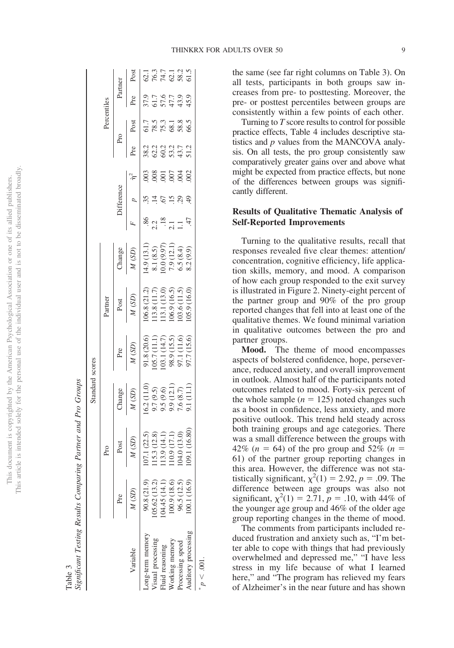This article is intended solely for the personal use of the individual user and is not to be disseminated broadly This article is intended solely for the personal use of the individual user and is not to be disseminated broadly.This document is copyrighted by the American Psychological Association or one of its allied publishers. This document is copyrighted by the American Psychological Association or one of its allied publishers.

|  | Significant Testing Results Comparing Partner and Pro Groups |                 |
|--|--------------------------------------------------------------|-----------------|
|  |                                                              | standard scores |

|                                          |                              |                                                                                                                                                                                                                                                                                                                                                                                                                                                  |                                                                                                                                                                                                                                     |                                                                                                                                                                                                                                                                                  | Partner                                                                                                                                                                                                                                                                                                                                                                                                                                          |                                                                                                                                                                                  |                                                                        |                               |         |                                   | Percentiles                                                         |                                                |                              |
|------------------------------------------|------------------------------|--------------------------------------------------------------------------------------------------------------------------------------------------------------------------------------------------------------------------------------------------------------------------------------------------------------------------------------------------------------------------------------------------------------------------------------------------|-------------------------------------------------------------------------------------------------------------------------------------------------------------------------------------------------------------------------------------|----------------------------------------------------------------------------------------------------------------------------------------------------------------------------------------------------------------------------------------------------------------------------------|--------------------------------------------------------------------------------------------------------------------------------------------------------------------------------------------------------------------------------------------------------------------------------------------------------------------------------------------------------------------------------------------------------------------------------------------------|----------------------------------------------------------------------------------------------------------------------------------------------------------------------------------|------------------------------------------------------------------------|-------------------------------|---------|-----------------------------------|---------------------------------------------------------------------|------------------------------------------------|------------------------------|
|                                          | Pre                          |                                                                                                                                                                                                                                                                                                                                                                                                                                                  |                                                                                                                                                                                                                                     |                                                                                                                                                                                                                                                                                  |                                                                                                                                                                                                                                                                                                                                                                                                                                                  |                                                                                                                                                                                  |                                                                        | <b>Difference</b>             |         | Pro                               |                                                                     |                                                |                              |
| Variable                                 | $M(SD)$                      | $\begin{tabular}{c c} Post \\ \hline \hline \textbf{\textit{M (SD)}} \\ \hline \textbf{\textit{M (SD)}} \\ \hline \textbf{\textit{M (12.3)}} \\ \textbf{\textit{15.3 (12.8)}} \\ \textbf{\textit{15.3 (14.1)}} \\ \textbf{\textit{19.9 (14.1)}} \\ \textbf{\textit{10.9 (17.1)}} \\ \textbf{\textit{10.9 (13.0)}} \\ \textbf{\textit{04.0 (13.0)}} \\ \textbf{\textit{04.0 (13.0)}} \\ \textbf{\textit{04.0 (13.0)}} \\ \textbf{\textit{04.0 (1$ | $\begin{tabular}{c c} Change \\ \hline \hline $M$ (SD) \\ \hline $M$ (SD) \\ \hline $M$ (SD) \\ \hline $10.2$ (11.0) \\ \hline $9.7$ (9.5) \\ $9.5$ (9.6) \\ $7.6$ (8.7) \\ $7.6$ (8.7) \\ $1.11) \\ $9.1$ (11.1) \\ \end{tabular}$ | $\begin{tabular}{c c} Pre & \multicolumn{2}{c}{Pre} \\ \hline \hline \textit{M (SD)} \\ \hline \textit{M (SD)} \\ \textit{91.8 (20.6)} \\ \textit{05.7 (11.1)} \\ \textit{03.1 (14.7)} \\ \textit{03.1 (14.7)} \\ \textit{98.9 (15.5)} \\ \textit{97.1 (11.6)} \\ \end{tabular}$ | $\begin{tabular}{c c} Post \\ \hline \hline \textbf{\textit{M (SD)}} \\ \hline \textbf{\textit{M (SD)}} \\ \hline \textbf{\textit{M (S11,7)}} \\ \textbf{\textit{13.8 (11.7)}} \\ \textbf{\textit{13.9 (11.5)}} \\ \textbf{\textit{13.1 (13.0)}} \\ \textbf{\textit{06.9 (16.5)}} \\ \textbf{\textit{08.9 (11.5)}} \\ \textbf{\textit{08.9 (11.5)}} \\ \textbf{\textit{08.9 (11.5)}} \\ \textbf{\textit{08.9 (11.5)}} \\ \textbf{\textit{08.9 ($ | Change<br>$M$ (SD)<br>$M$ (SD)<br>$A$ (9.01)<br>$(13.1)$<br>$(13.1)$<br>$(13.1)$<br>$(13.1)$<br>$(13.1)$<br>$(13.1)$<br>$(13.1)$<br>$(13.1)$<br>$(13.1)$<br>$(13.1)$<br>$(13.1)$ |                                                                        |                               |         |                                   |                                                                     | Partner<br>Pre Post                            |                              |
| ong-term memory                          | 90.8 (21.9)                  |                                                                                                                                                                                                                                                                                                                                                                                                                                                  |                                                                                                                                                                                                                                     |                                                                                                                                                                                                                                                                                  |                                                                                                                                                                                                                                                                                                                                                                                                                                                  |                                                                                                                                                                                  |                                                                        |                               |         |                                   | $\begin{array}{l} 61.7 \\ 78.5 \\ 78.3 \\ 68.3 \\ 66.5 \end{array}$ |                                                |                              |
| 'isual processing                        |                              |                                                                                                                                                                                                                                                                                                                                                                                                                                                  |                                                                                                                                                                                                                                     |                                                                                                                                                                                                                                                                                  |                                                                                                                                                                                                                                                                                                                                                                                                                                                  |                                                                                                                                                                                  | $\frac{86}{21}$<br>$\frac{21}{11}$<br>$\frac{1}{11}$<br>$\frac{1}{47}$ |                               | 8888888 | 2<br>2022<br>2023<br>2024<br>2024 |                                                                     | 9<br>9 7 9 7 9 9<br>9 7 9 7 9 9<br>9 7 9 9 9 9 | 62.1<br>76.7<br>62.2<br>61.5 |
| $\epsilon$ luid reasoning                | 05.62 (13.2)<br>04.45 (14.1) |                                                                                                                                                                                                                                                                                                                                                                                                                                                  |                                                                                                                                                                                                                                     |                                                                                                                                                                                                                                                                                  |                                                                                                                                                                                                                                                                                                                                                                                                                                                  |                                                                                                                                                                                  |                                                                        | $\vec{z}$ $\vec{e}$ $\vec{z}$ |         |                                   |                                                                     |                                                |                              |
| $\sqrt{\mathrm{or}}\mathrm{king}$ memory |                              |                                                                                                                                                                                                                                                                                                                                                                                                                                                  |                                                                                                                                                                                                                                     |                                                                                                                                                                                                                                                                                  |                                                                                                                                                                                                                                                                                                                                                                                                                                                  |                                                                                                                                                                                  |                                                                        |                               |         |                                   |                                                                     |                                                |                              |
| rocessing speed                          | 100.9 (18.6)<br>96.5 (12.5)  |                                                                                                                                                                                                                                                                                                                                                                                                                                                  |                                                                                                                                                                                                                                     |                                                                                                                                                                                                                                                                                  |                                                                                                                                                                                                                                                                                                                                                                                                                                                  |                                                                                                                                                                                  |                                                                        |                               |         |                                   |                                                                     |                                                |                              |
| unditory processing                      | 00.1(16.9)                   |                                                                                                                                                                                                                                                                                                                                                                                                                                                  |                                                                                                                                                                                                                                     |                                                                                                                                                                                                                                                                                  |                                                                                                                                                                                                                                                                                                                                                                                                                                                  |                                                                                                                                                                                  |                                                                        |                               |         |                                   |                                                                     |                                                |                              |
| ioo`                                     |                              |                                                                                                                                                                                                                                                                                                                                                                                                                                                  |                                                                                                                                                                                                                                     |                                                                                                                                                                                                                                                                                  |                                                                                                                                                                                                                                                                                                                                                                                                                                                  |                                                                                                                                                                                  |                                                                        |                               |         |                                   |                                                                     |                                                |                              |

the same (see far right columns on Table 3). On all tests, participants in both groups saw increases from pre- to posttesting. Moreover, the pre- or posttest percentiles between groups are consistently within a few points of each other.

Turning to *T* score results to control for possible practice effects, Table 4 includes descriptive statistics and *p* values from the MANCOVA analysis. On all tests, the pro group consistently saw comparatively greater gains over and above what might be expected from practice effects, but none of the differences between groups was significantly different.

## **Results of Qualitative Thematic Analysis of Self-Reported Improvements**

Turning to the qualitative results, recall that responses revealed five clear themes: attention/ concentration, cognitive efficiency, life application skills, memory, and mood. A comparison of how each group responded to the exit survey is illustrated in [Figure 2.](#page-9-0) Ninety-eight percent of the partner group and 90% of the pro group reported changes that fell into at least one of the qualitative themes. We found minimal variation in qualitative outcomes between the pro and partner groups.

**Mood.** The theme of mood encompasses aspects of bolstered confidence, hope, perseverance, reduced anxiety, and overall improvement in outlook. Almost half of the participants noted outcomes related to mood. Forty-six percent of the whole sample  $(n = 125)$  noted changes such as a boost in confidence, less anxiety, and more positive outlook. This trend held steady across both training groups and age categories. There was a small difference between the groups with 42% ( $n = 64$ ) of the pro group and 52% ( $n =$ 61) of the partner group reporting changes in this area. However, the difference was not statistically significant,  $\chi^2(1) = 2.92$ ,  $p = .09$ . The difference between age groups was also not significant,  $\chi^2(1) = 2.71$ ,  $p = .10$ , with 44% of the younger age group and 46% of the older age group reporting changes in the theme of mood.

The comments from participants included reduced frustration and anxiety such as, "I'm better able to cope with things that had previously overwhelmed and depressed me," "I have less stress in my life because of what I learned here," and "The program has relieved my fears of Alzheimer's in the near future and has shown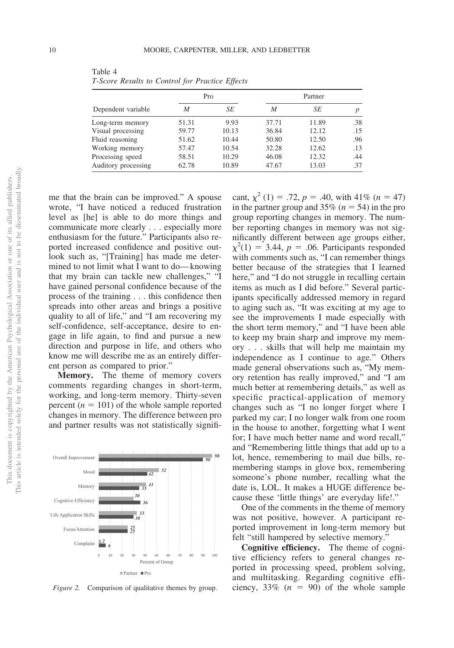| Table 4 |                                                 |  |
|---------|-------------------------------------------------|--|
|         | T-Score Results to Control for Practice Effects |  |

|                     | Pro   |       | Partner |       |     |
|---------------------|-------|-------|---------|-------|-----|
| Dependent variable  | Μ     | SE    | M       | SE    |     |
| Long-term memory    | 51.31 | 9.93  | 37.71   | 11.89 | .38 |
| Visual processing   | 59.77 | 10.13 | 36.84   | 12.12 | .15 |
| Fluid reasoning     | 51.62 | 10.44 | 50.80   | 12.50 | .96 |
| Working memory      | 57.47 | 10.54 | 32.28   | 12.62 | .13 |
| Processing speed    | 58.51 | 10.29 | 46.08   | 12.32 | .44 |
| Auditory processing | 62.78 | 10.89 | 47.67   | 13.03 | .37 |

me that the brain can be improved." A spouse wrote, "I have noticed a reduced frustration level as [he] is able to do more things and communicate more clearly... especially more enthusiasm for the future." Participants also reported increased confidence and positive outlook such as, "[Training] has made me determined to not limit what I want to do—knowing that my brain can tackle new challenges," "I have gained personal confidence because of the process of the training... this confidence then spreads into other areas and brings a positive quality to all of life," and "I am recovering my self-confidence, self-acceptance, desire to engage in life again, to find and pursue a new direction and purpose in life, and others who know me will describe me as an entirely different person as compared to prior."

**Memory.** The theme of memory covers comments regarding changes in short-term, working, and long-term memory. Thirty-seven percent  $(n = 101)$  of the whole sample reported changes in memory. The difference between pro and partner results was not statistically signifi-



<span id="page-9-0"></span>*Figure 2.* Comparison of qualitative themes by group.

cant,  $\chi^2$  (1) = .72, *p* = .40, with 41% (*n* = 47) in the partner group and  $35\%$  ( $n = 54$ ) in the pro group reporting changes in memory. The number reporting changes in memory was not significantly different between age groups either,  $\chi^2(1) = 3.44$ ,  $p = .06$ . Participants responded with comments such as, "I can remember things better because of the strategies that I learned here," and "I do not struggle in recalling certain items as much as I did before." Several participants specifically addressed memory in regard to aging such as, "It was exciting at my age to see the improvements I made especially with the short term memory," and "I have been able to keep my brain sharp and improve my memory . . . skills that will help me maintain my independence as I continue to age." Others made general observations such as, "My memory retention has really improved," and "I am much better at remembering details," as well as specific practical-application of memory changes such as "I no longer forget where I parked my car; I no longer walk from one room in the house to another, forgetting what I went for; I have much better name and word recall," and "Remembering little things that add up to a lot, hence, remembering to mail due bills, remembering stamps in glove box, remembering someone's phone number, recalling what the date is, LOL. It makes a HUGE difference because these 'little things' are everyday life!."

One of the comments in the theme of memory was not positive, however. A participant reported improvement in long-term memory but felt "still hampered by selective memory."

**Cognitive efficiency.** The theme of cognitive efficiency refers to general changes reported in processing speed, problem solving, and multitasking. Regarding cognitive efficiency,  $33\%$  ( $n = 90$ ) of the whole sample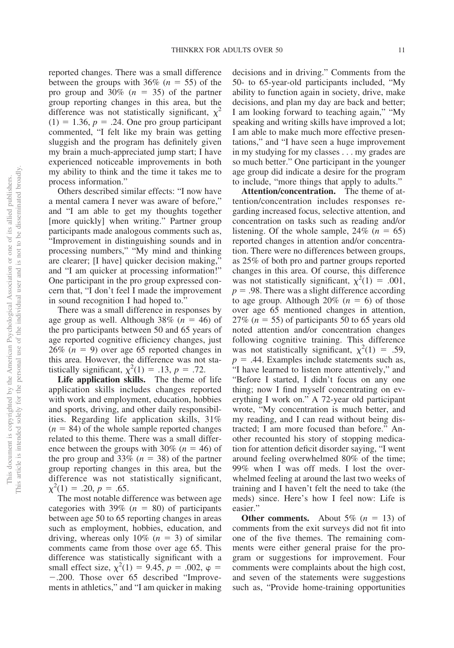reported changes. There was a small difference between the groups with  $36\%$  ( $n = 55$ ) of the pro group and  $30\%$  ( $n = 35$ ) of the partner group reporting changes in this area, but the difference was not statistically significant,  $\chi^2$  $(1) = 1.36$ ,  $p = .24$ . One pro group participant commented, "I felt like my brain was getting sluggish and the program has definitely given my brain a much-appreciated jump start; I have experienced noticeable improvements in both my ability to think and the time it takes me to process information."

Others described similar effects: "I now have a mental camera I never was aware of before," and "I am able to get my thoughts together [more quickly] when writing." Partner group participants made analogous comments such as, "Improvement in distinguishing sounds and in processing numbers," "My mind and thinking are clearer; [I have] quicker decision making," and "I am quicker at processing information!" One participant in the pro group expressed concern that, "I don't feel I made the improvement in sound recognition I had hoped to."

There was a small difference in responses by age group as well. Although  $38\%$  ( $n = 46$ ) of the pro participants between 50 and 65 years of age reported cognitive efficiency changes, just  $26\%$  ( $n = 9$ ) over age 65 reported changes in this area. However, the difference was not statistically significant,  $\chi^2(1) = .13$ ,  $p = .72$ .

**Life application skills.** The theme of life application skills includes changes reported with work and employment, education, hobbies and sports, driving, and other daily responsibilities. Regarding life application skills, 31%  $(n = 84)$  of the whole sample reported changes related to this theme. There was a small difference between the groups with  $30\%$  ( $n = 46$ ) of the pro group and  $33\%$  ( $n = 38$ ) of the partner group reporting changes in this area, but the difference was not statistically significant,  $\chi^2(1) = .20, p = .65.$ 

The most notable difference was between age categories with  $39\%$  ( $n = 80$ ) of participants between age 50 to 65 reporting changes in areas such as employment, hobbies, education, and driving, whereas only  $10\%$  ( $n = 3$ ) of similar comments came from those over age 65. This difference was statistically significant with a small effect size,  $\chi^2(1) = 9.45$ ,  $p = .002$ ,  $\varphi =$ .200. Those over 65 described "Improvements in athletics," and "I am quicker in making decisions and in driving." Comments from the 50- to 65-year-old participants included, "My ability to function again in society, drive, make decisions, and plan my day are back and better; I am looking forward to teaching again," "My speaking and writing skills have improved a lot; I am able to make much more effective presentations," and "I have seen a huge improvement in my studying for my classes . . . my grades are so much better." One participant in the younger age group did indicate a desire for the program to include, "more things that apply to adults."

**Attention/concentration.** The theme of attention/concentration includes responses regarding increased focus, selective attention, and concentration on tasks such as reading and/or listening. Of the whole sample,  $24\%$  ( $n = 65$ ) reported changes in attention and/or concentration. There were no differences between groups, as 25% of both pro and partner groups reported changes in this area. Of course, this difference was not statistically significant,  $\chi^2(1) = .001$ ,  $p = .98$ . There was a slight difference according to age group. Although  $20\%$  ( $n = 6$ ) of those over age 65 mentioned changes in attention,  $27\%$  ( $n = 55$ ) of participants 50 to 65 years old noted attention and/or concentration changes following cognitive training. This difference was not statistically significant,  $\chi^2(1) = .59$ ,  $p = .44$ . Examples include statements such as, "I have learned to listen more attentively," and "Before I started, I didn't focus on any one thing; now I find myself concentrating on everything I work on." A 72-year old participant wrote, "My concentration is much better, and my reading, and I can read without being distracted; I am more focused than before." Another recounted his story of stopping medication for attention deficit disorder saying, "I went around feeling overwhelmed 80% of the time; 99% when I was off meds. I lost the overwhelmed feeling at around the last two weeks of training and I haven't felt the need to take (the meds) since. Here's how I feel now: Life is easier."

**Other comments.** About  $5\%$  ( $n = 13$ ) of comments from the exit surveys did not fit into one of the five themes. The remaining comments were either general praise for the program or suggestions for improvement. Four comments were complaints about the high cost, and seven of the statements were suggestions such as, "Provide home-training opportunities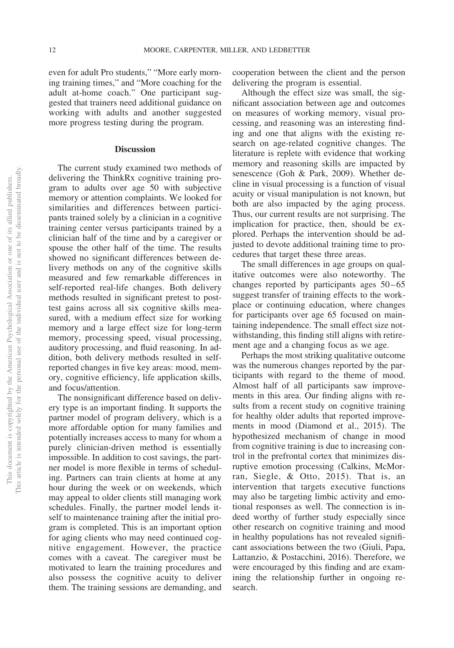even for adult Pro students," "More early morning training times," and "More coaching for the adult at-home coach." One participant suggested that trainers need additional guidance on working with adults and another suggested more progress testing during the program.

#### **Discussion**

The current study examined two methods of delivering the ThinkRx cognitive training program to adults over age 50 with subjective memory or attention complaints. We looked for similarities and differences between participants trained solely by a clinician in a cognitive training center versus participants trained by a clinician half of the time and by a caregiver or spouse the other half of the time. The results showed no significant differences between delivery methods on any of the cognitive skills measured and few remarkable differences in self-reported real-life changes. Both delivery methods resulted in significant pretest to posttest gains across all six cognitive skills measured, with a medium effect size for working memory and a large effect size for long-term memory, processing speed, visual processing, auditory processing, and fluid reasoning. In addition, both delivery methods resulted in selfreported changes in five key areas: mood, memory, cognitive efficiency, life application skills, and focus/attention.

The nonsignificant difference based on delivery type is an important finding. It supports the partner model of program delivery, which is a more affordable option for many families and potentially increases access to many for whom a purely clinician-driven method is essentially impossible. In addition to cost savings, the partner model is more flexible in terms of scheduling. Partners can train clients at home at any hour during the week or on weekends, which may appeal to older clients still managing work schedules. Finally, the partner model lends itself to maintenance training after the initial program is completed. This is an important option for aging clients who may need continued cognitive engagement. However, the practice comes with a caveat. The caregiver must be motivated to learn the training procedures and also possess the cognitive acuity to deliver them. The training sessions are demanding, and cooperation between the client and the person delivering the program is essential.

Although the effect size was small, the significant association between age and outcomes on measures of working memory, visual processing, and reasoning was an interesting finding and one that aligns with the existing research on age-related cognitive changes. The literature is replete with evidence that working memory and reasoning skills are impacted by senescence (Goh & Park, 2009). Whether decline in visual processing is a function of visual acuity or visual manipulation is not known, but both are also impacted by the aging process. Thus, our current results are not surprising. The implication for practice, then, should be explored. Perhaps the intervention should be adjusted to devote additional training time to procedures that target these three areas.

The small differences in age groups on qualitative outcomes were also noteworthy. The changes reported by participants ages 50–65 suggest transfer of training effects to the workplace or continuing education, where changes for participants over age 65 focused on maintaining independence. The small effect size notwithstanding, this finding still aligns with retirement age and a changing focus as we age.

Perhaps the most striking qualitative outcome was the numerous changes reported by the participants with regard to the theme of mood. Almost half of all participants saw improvements in this area. Our finding aligns with results from a recent study on cognitive training for healthy older adults that reported improvements in mood (Diamond et al., 2015). The hypothesized mechanism of change in mood from cognitive training is due to increasing control in the prefrontal cortex that minimizes disruptive emotion processing (Calkins, McMorran, Siegle, & Otto, 2015). That is, an intervention that targets executive functions may also be targeting limbic activity and emotional responses as well. The connection is indeed worthy of further study especially since other research on cognitive training and mood in healthy populations has not revealed significant associations between the two (Giuli, Papa, Lattanzio, & Postacchini, 2016). Therefore, we were encouraged by this finding and are examining the relationship further in ongoing research.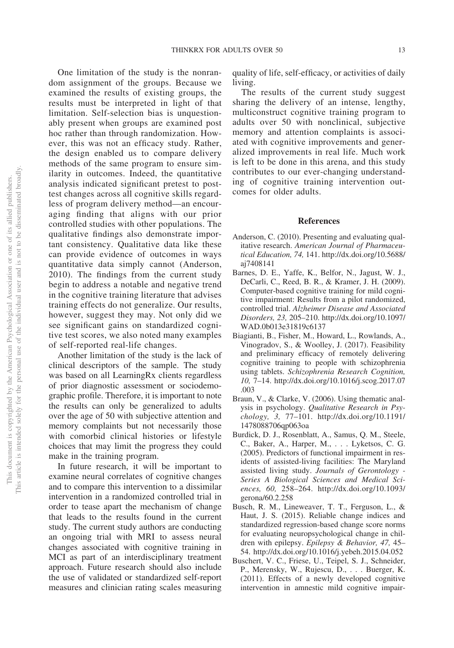One limitation of the study is the nonrandom assignment of the groups. Because we examined the results of existing groups, the results must be interpreted in light of that limitation. Self-selection bias is unquestionably present when groups are examined post hoc rather than through randomization. However, this was not an efficacy study. Rather, the design enabled us to compare delivery methods of the same program to ensure similarity in outcomes. Indeed, the quantitative analysis indicated significant pretest to posttest changes across all cognitive skills regardless of program delivery method—an encouraging finding that aligns with our prior controlled studies with other populations. The qualitative findings also demonstrate important consistency. Qualitative data like these can provide evidence of outcomes in ways quantitative data simply cannot (Anderson, 2010). The findings from the current study begin to address a notable and negative trend in the cognitive training literature that advises training effects do not generalize. Our results, however, suggest they may. Not only did we see significant gains on standardized cognitive test scores, we also noted many examples of self-reported real-life changes.

Another limitation of the study is the lack of clinical descriptors of the sample. The study was based on all LearningRx clients regardless of prior diagnostic assessment or sociodemographic profile. Therefore, it is important to note the results can only be generalized to adults over the age of 50 with subjective attention and memory complaints but not necessarily those with comorbid clinical histories or lifestyle choices that may limit the progress they could make in the training program.

In future research, it will be important to examine neural correlates of cognitive changes and to compare this intervention to a dissimilar intervention in a randomized controlled trial in order to tease apart the mechanism of change that leads to the results found in the current study. The current study authors are conducting an ongoing trial with MRI to assess neural changes associated with cognitive training in MCI as part of an interdisciplinary treatment approach. Future research should also include the use of validated or standardized self-report measures and clinician rating scales measuring quality of life, self-efficacy, or activities of daily living.

The results of the current study suggest sharing the delivery of an intense, lengthy, multiconstruct cognitive training program to adults over 50 with nonclinical, subjective memory and attention complaints is associated with cognitive improvements and generalized improvements in real life. Much work is left to be done in this arena, and this study contributes to our ever-changing understanding of cognitive training intervention outcomes for older adults.

#### **References**

- Anderson, C. (2010). Presenting and evaluating qualitative research. *American Journal of Pharmaceutical Education, 74,* 141. [http://dx.doi.org/10.5688/](http://dx.doi.org/10.5688/aj7408141) [aj7408141](http://dx.doi.org/10.5688/aj7408141)
- Barnes, D. E., Yaffe, K., Belfor, N., Jagust, W. J., DeCarli, C., Reed, B. R., & Kramer, J. H. (2009). Computer-based cognitive training for mild cognitive impairment: Results from a pilot randomized, controlled trial. *Alzheimer Disease and Associated Disorders, 23,* 205–210. [http://dx.doi.org/10.1097/](http://dx.doi.org/10.1097/WAD.0b013e31819c6137) [WAD.0b013e31819c6137](http://dx.doi.org/10.1097/WAD.0b013e31819c6137)
- Biagianti, B., Fisher, M., Howard, L., Rowlands, A., Vinogradov, S., & Woolley, J. (2017). Feasibility and preliminary efficacy of remotely delivering cognitive training to people with schizophrenia using tablets. *Schizophrenia Research Cognition, 10,* 7–14. [http://dx.doi.org/10.1016/j.scog.2017.07](http://dx.doi.org/10.1016/j.scog.2017.07.003) [.003](http://dx.doi.org/10.1016/j.scog.2017.07.003)
- Braun, V., & Clarke, V. (2006). Using thematic analysis in psychology. *Qualitative Research in Psychology, 3,* 77–101. [http://dx.doi.org/10.1191/](http://dx.doi.org/10.1191/1478088706qp063oa) [1478088706qp063oa](http://dx.doi.org/10.1191/1478088706qp063oa)
- Burdick, D. J., Rosenblatt, A., Samus, Q. M., Steele, C., Baker, A., Harper, M.,... Lyketsos, C. G. (2005). Predictors of functional impairment in residents of assisted-living facilities: The Maryland assisted living study. *Journals of Gerontology - Series A Biological Sciences and Medical Sciences, 60,* 258–264. [http://dx.doi.org/10.1093/](http://dx.doi.org/10.1093/gerona/60.2.258) [gerona/60.2.258](http://dx.doi.org/10.1093/gerona/60.2.258)
- Busch, R. M., Lineweaver, T. T., Ferguson, L., & Haut, J. S. (2015). Reliable change indices and standardized regression-based change score norms for evaluating neuropsychological change in children with epilepsy. *Epilepsy & Behavior, 47,* 45– 54.<http://dx.doi.org/10.1016/j.yebeh.2015.04.052>
- Buschert, V. C., Friese, U., Teipel, S. J., Schneider, P., Merensky, W., Rujescu, D.,... Buerger, K. (2011). Effects of a newly developed cognitive intervention in amnestic mild cognitive impair-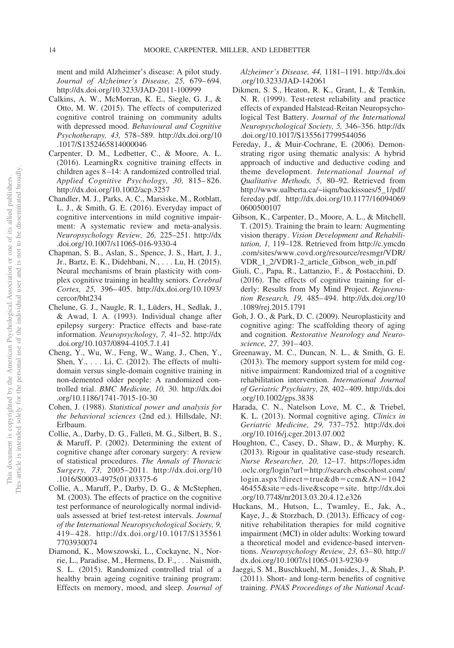ment and mild Alzheimer's disease: A pilot study. *Journal of Alzheimer's Disease, 25,* 679–694. <http://dx.doi.org/10.3233/JAD-2011-100999>

- Calkins, A. W., McMorran, K. E., Siegle, G. J., & Otto, M. W. (2015). The effects of computerized cognitive control training on community adults with depressed mood. *Behavioural and Cognitive Psychotherapy, 43,* 578–589. [http://dx.doi.org/10](http://dx.doi.org/10.1017/S1352465814000046) [.1017/S1352465814000046](http://dx.doi.org/10.1017/S1352465814000046)
- Carpenter, D. M., Ledbetter, C., & Moore, A. L. (2016). LearningRx cognitive training effects in children ages 8–14: A randomized controlled trial. *Applied Cognitive Psychology, 30,* 815–826. <http://dx.doi.org/10.1002/acp.3257>
- Chandler, M. J., Parks, A. C., Marsiske, M., Rotblatt, L. J., & Smith, G. E. (2016). Everyday impact of cognitive interventions in mild cognitive impairment: A systematic review and meta-analysis. *Neuropsychology Review, 26,* 225–251. [http://dx](http://dx.doi.org/10.1007/s11065-016-9330-4) [.doi.org/10.1007/s11065-016-9330-4](http://dx.doi.org/10.1007/s11065-016-9330-4)
- Chapman, S. B., Aslan, S., Spence, J. S., Hart, J. J., Jr., Bartz, E. K., Didehbani, N., . . . Lu, H. (2015). Neural mechanisms of brain plasticity with complex cognitive training in healthy seniors. *Cerebral Cortex, 25,* 396–405. [http://dx.doi.org/10.1093/](http://dx.doi.org/10.1093/cercor/bht234) [cercor/bht234](http://dx.doi.org/10.1093/cercor/bht234)
- Chelune, G. J., Naugle, R. I., Lüders, H., Sedlak, J., & Awad, I. A. (1993). Individual change after epilepsy surgery: Practice effects and base-rate information. *Neuropsychology, 7,* 41–52. [http://dx](http://dx.doi.org/10.1037/0894-4105.7.1.41) [.doi.org/10.1037/0894-4105.7.1.41](http://dx.doi.org/10.1037/0894-4105.7.1.41)
- Cheng, Y., Wu, W., Feng, W., Wang, J., Chen, Y., Shen,  $Y_{1}$ ,  $\ldots$  Li, C. (2012). The effects of multidomain versus single-domain cognitive training in non-demented older people: A randomized controlled trial. *BMC Medicine, 10,* 30. [http://dx.doi](http://dx.doi.org/10.1186/1741-7015-10-30) [.org/10.1186/1741-7015-10-30](http://dx.doi.org/10.1186/1741-7015-10-30)
- Cohen, J. (1988). *Statistical power and analysis for the behavioral sciences* (2nd ed.). Hillsdale, NJ: Erlbaum.
- Collie, A., Darby, D. G., Falleti, M. G., Silbert, B. S., & Maruff, P. (2002). Determining the extent of cognitive change after coronary surgery: A review of statistical procedures. *The Annals of Thoracic Surgery, 73,* 2005–2011. [http://dx.doi.org/10](http://dx.doi.org/10.1016/S0003-4975%2801%2903375-6) [.1016/S0003-4975\(01\)03375-6](http://dx.doi.org/10.1016/S0003-4975%2801%2903375-6)
- Collie, A., Maruff, P., Darby, D. G., & McStephen, M. (2003). The effects of practice on the cognitive test performance of neurologically normal individuals assessed at brief test-retest intervals. *Journal of the International Neuropsychological Society, 9,* 419–428. [http://dx.doi.org/10.1017/S135561](http://dx.doi.org/10.1017/S1355617703930074) [7703930074](http://dx.doi.org/10.1017/S1355617703930074)
- Diamond, K., Mowszowski, L., Cockayne, N., Norrie, L., Paradise, M., Hermens, D. F.,... Naismith, S. L. (2015). Randomized controlled trial of a healthy brain ageing cognitive training program: Effects on memory, mood, and sleep. *Journal of*

*Alzheimer's Disease, 44,* 1181–1191. [http://dx.doi](http://dx.doi.org/10.3233/JAD-142061) [.org/10.3233/JAD-142061](http://dx.doi.org/10.3233/JAD-142061)

- Dikmen, S. S., Heaton, R. K., Grant, I., & Temkin, N. R. (1999). Test-retest reliability and practice effects of expanded Halstead-Reitan Neuropsychological Test Battery. *Journal of the International Neuropsychological Society, 5,* 346–356. [http://dx](http://dx.doi.org/10.1017/S1355617799544056) [.doi.org/10.1017/S1355617799544056](http://dx.doi.org/10.1017/S1355617799544056)
- Fereday, J., & Muir-Cochrane, E. (2006). Demonstrating rigor using thematic analysis: A hybrid approach of inductive and deductive coding and theme development. *International Journal of Qualitative Methods, 5,* 80–92. Retrieved from [http://www.ualberta.ca/~iiqm/backissues/5\\_1/pdf/](http://www.ualberta.ca/%7Eiiqm/backissues/5_1/pdf/fereday.pdf) [fereday.pdf.](http://www.ualberta.ca/%7Eiiqm/backissues/5_1/pdf/fereday.pdf) [http://dx.doi.org/10.1177/16094069](http://dx.doi.org/10.1177/160940690600500107) [0600500107](http://dx.doi.org/10.1177/160940690600500107)
- Gibson, K., Carpenter, D., Moore, A. L., & Mitchell, T. (2015). Training the brain to learn: Augmenting vision therapy. *Vision Development and Rehabilitation, 1,* 119–128. Retrieved from [http://c.ymcdn](http://c.ymcdn.com/sites/www.covd.org/resource/resmgr/VDR/VDR_1_2/VDR1-2_article_Gibson_web_in.pdf) [.com/sites/www.covd.org/resource/resmgr/VDR/](http://c.ymcdn.com/sites/www.covd.org/resource/resmgr/VDR/VDR_1_2/VDR1-2_article_Gibson_web_in.pdf) [VDR\\_1\\_2/VDR1-2\\_article\\_Gibson\\_web\\_in.pdf](http://c.ymcdn.com/sites/www.covd.org/resource/resmgr/VDR/VDR_1_2/VDR1-2_article_Gibson_web_in.pdf)
- Giuli, C., Papa, R., Lattanzio, F., & Postacchini, D. (2016). The effects of cognitive training for elderly: Results from My Mind Project. *Rejuvenation Research, 19,* 485–494. [http://dx.doi.org/10](http://dx.doi.org/10.1089/rej.2015.1791) [.1089/rej.2015.1791](http://dx.doi.org/10.1089/rej.2015.1791)
- Goh, J. O., & Park, D. C. (2009). Neuroplasticity and cognitive aging: The scaffolding theory of aging and cognition. *Restorative Neurology and Neuroscience, 27,* 391–403.
- Greenaway, M. C., Duncan, N. L., & Smith, G. E. (2013). The memory support system for mild cognitive impairment: Randomized trial of a cognitive rehabilitation intervention. *International Journal of Geriatric Psychiatry, 28,* 402–409. [http://dx.doi](http://dx.doi.org/10.1002/gps.3838) [.org/10.1002/gps.3838](http://dx.doi.org/10.1002/gps.3838)
- Harada, C. N., Natelson Love, M. C., & Triebel, K. L. (2013). Normal cognitive aging. *Clinics in Geriatric Medicine, 29,* 737–752. [http://dx.doi](http://dx.doi.org/10.1016/j.cger.2013.07.002) [.org/10.1016/j.cger.2013.07.002](http://dx.doi.org/10.1016/j.cger.2013.07.002)
- Houghton, C., Casey, D., Shaw, D., & Murphy, K. (2013). Rigour in qualitative case-study research. *Nurse Researcher, 20,* 12–17. [https://lopes.idm](https://lopes.idm.oclc.org/login?url=http://search.ebscohost.com/login.aspx?direct=true&db=ccm&AN=104246455&site=eds-live&scope=site) .oclc.org/login?url-[http://search.ebscohost.com/](https://lopes.idm.oclc.org/login?url=http://search.ebscohost.com/login.aspx?direct=true&db=ccm&AN=104246455&site=eds-live&scope=site) [login.aspx?direct](https://lopes.idm.oclc.org/login?url=http://search.ebscohost.com/login.aspx?direct=true&db=ccm&AN=104246455&site=eds-live&scope=site)=true&db=ccm&AN=1042 46455&site-[eds-live&scope](https://lopes.idm.oclc.org/login?url=http://search.ebscohost.com/login.aspx?direct=true&db=ccm&AN=104246455&site=eds-live&scope=site)-site. [http://dx.doi](http://dx.doi.org/10.7748/nr2013.03.20.4.12.e326) [.org/10.7748/nr2013.03.20.4.12.e326](http://dx.doi.org/10.7748/nr2013.03.20.4.12.e326)
- Huckans, M., Hutson, L., Twamley, E., Jak, A., Kaye, J., & Storzbach, D. (2013). Efficacy of cognitive rehabilitation therapies for mild cognitive impairment (MCI) in older adults: Working toward a theoretical model and evidence-based interventions. *Neuropsychology Review, 23,* 63–80. [http://](http://dx.doi.org/10.1007/s11065-013-9230-9) [dx.doi.org/10.1007/s11065-013-9230-9](http://dx.doi.org/10.1007/s11065-013-9230-9)
- Jaeggi, S. M., Buschkuehl, M., Jonides, J., & Shah, P. (2011). Short- and long-term benefits of cognitive training. *PNAS Proceedings of the National Acad-*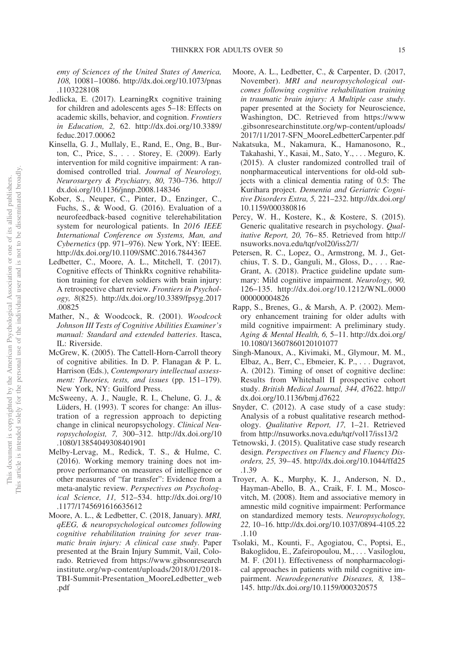*emy of Sciences of the United States of America, 108,* 10081–10086. [http://dx.doi.org/10.1073/pnas](http://dx.doi.org/10.1073/pnas.1103228108) [.1103228108](http://dx.doi.org/10.1073/pnas.1103228108)

- Jedlicka, E. (2017). LearningRx cognitive training for children and adolescents ages 5–18: Effects on academic skills, behavior, and cognition. *Frontiers in Education, 2,* 62. [http://dx.doi.org/10.3389/](http://dx.doi.org/10.3389/feduc.2017.00062) [feduc.2017.00062](http://dx.doi.org/10.3389/feduc.2017.00062)
- Kinsella, G. J., Mullaly, E., Rand, E., Ong, B., Burton, C., Price, S.,... Storey, E. (2009). Early intervention for mild cognitive impairment: A randomised controlled trial. *Journal of Neurology, Neurosurgery & Psychiatry, 80,* 730–736. [http://](http://dx.doi.org/10.1136/jnnp.2008.148346) [dx.doi.org/10.1136/jnnp.2008.148346](http://dx.doi.org/10.1136/jnnp.2008.148346)
- Kober, S., Neuper, C., Pinter, D., Enzinger, C., Fuchs, S., & Wood, G. (2016). Evaluation of a neurofeedback-based cognitive telerehabilitation system for neurological patients. In *2016 IEEE International Conference on Systems, Man, and Cybernetics* (pp. 971–976). New York, NY: IEEE. <http://dx.doi.org/10.1109/SMC.2016.7844367>
- Ledbetter, C., Moore, A. L., Mitchell, T. (2017). Cognitive effects of ThinkRx cognitive rehabilitation training for eleven soldiers with brain injury: A retrospective chart review. *Frontiers in Psychology, 8*(825). [http://dx.doi.org/10.3389/fpsyg.2017](http://dx.doi.org/10.3389/fpsyg.2017.00825) [.00825](http://dx.doi.org/10.3389/fpsyg.2017.00825)
- Mather, N., & Woodcock, R. (2001). *Woodcock Johnson III Tests of Cognitive Abilities Examiner's manual: Standard and extended batteries*. Itasca, IL: Riverside.
- McGrew, K. (2005). The Cattell-Horn-Carroll theory of cognitive abilities. In D. P. Flanagan & P. L. Harrison (Eds.), *Contemporary intellectual assessment: Theories, tests, and issues* (pp. 151–179). New York, NY: Guilford Press.
- McSweeny, A. J., Naugle, R. I., Chelune, G. J., & Lüders, H. (1993). T scores for change: An illustration of a regression approach to depicting change in clinical neuropsychology. *Clinical Neuropsychologist, 7,* 300–312. [http://dx.doi.org/10](http://dx.doi.org/10.1080/13854049308401901) [.1080/13854049308401901](http://dx.doi.org/10.1080/13854049308401901)
- Melby-Lervag, M., Redick, T. S., & Hulme, C. (2016). Working memory training does not improve performance on measures of intelligence or other measures of "far transfer": Evidence from a meta-analytic review. *Perspectives on Psychological Science, 11,* 512–534. [http://dx.doi.org/10](http://dx.doi.org/10.1177/1745691616635612) [.1177/1745691616635612](http://dx.doi.org/10.1177/1745691616635612)
- Moore, A. L., & Ledbetter, C. (2018, January). *MRI, qEEG, & neuropsychological outcomes following cognitive rehabilitation training for sever traumatic brain injury: A clinical case study*. Paper presented at the Brain Injury Summit, Vail, Colorado. Retrieved from [https://www.gibsonresearch](https://www.gibsonresearchinstitute.org/wp-content/uploads/2018/01/2018-TBI-Summit-Presentation_MooreLedbetter_web.pdf) [institute.org/wp-content/uploads/2018/01/2018-](https://www.gibsonresearchinstitute.org/wp-content/uploads/2018/01/2018-TBI-Summit-Presentation_MooreLedbetter_web.pdf) [TBI-Summit-Presentation\\_MooreLedbetter\\_web](https://www.gibsonresearchinstitute.org/wp-content/uploads/2018/01/2018-TBI-Summit-Presentation_MooreLedbetter_web.pdf) [.pdf](https://www.gibsonresearchinstitute.org/wp-content/uploads/2018/01/2018-TBI-Summit-Presentation_MooreLedbetter_web.pdf)
- Moore, A. L., Ledbetter, C., & Carpenter, D. (2017, November). *MRI and neuropsychological outcomes following cognitive rehabilitation training in traumatic brain injury: A Multiple case study*. paper presented at the Society for Neuroscience, Washington, DC. Retrieved from [https://www](https://www.gibsonresearchinstitute.org/wp-content/uploads/2017/11/2017-SFN_MooreLedbetterCarpenter.pdf) [.gibsonresearchinstitute.org/wp-content/uploads/](https://www.gibsonresearchinstitute.org/wp-content/uploads/2017/11/2017-SFN_MooreLedbetterCarpenter.pdf) [2017/11/2017-SFN\\_MooreLedbetterCarpenter.pdf](https://www.gibsonresearchinstitute.org/wp-content/uploads/2017/11/2017-SFN_MooreLedbetterCarpenter.pdf)
- Nakatsuka, M., Nakamura, K., Hamanosono, R., Takahashi, Y., Kasai, M., Sato, Y.,... Meguro, K. (2015). A cluster randomized controlled trail of nonpharmaceutical interventions for old-old subjects with a clinical dementia rating of 0.5: The Kurihara project. *Dementia and Geriatric Cognitive Disorders Extra, 5,* 221–232. [http://dx.doi.org/](http://dx.doi.org/10.1159/000380816) [10.1159/000380816](http://dx.doi.org/10.1159/000380816)
- Percy, W. H., Kostere, K., & Kostere, S. (2015). Generic qualitative research in psychology. *Qualitative Report, 20,* 76–85. Retrieved from [http://](http://nsuworks.nova.edu/tqr/vol20/iss2/7/) [nsuworks.nova.edu/tqr/vol20/iss2/7/](http://nsuworks.nova.edu/tqr/vol20/iss2/7/)
- Petersen, R. C., Lopez, O., Armstrong, M. J., Getchius, T. S. D., Ganguli, M., Gloss, D.,... Rae-Grant, A. (2018). Practice guideline update summary: Mild cognitive impairment. *Neurology, 90,* 126–135. [http://dx.doi.org/10.1212/WNL.0000](http://dx.doi.org/10.1212/WNL.0000000000004826) [000000004826](http://dx.doi.org/10.1212/WNL.0000000000004826)
- Rapp, S., Brenes, G., & Marsh, A. P. (2002). Memory enhancement training for older adults with mild cognitive impairment: A preliminary study. *Aging & Mental Health, 6,* 5–11. [http://dx.doi.org/](http://dx.doi.org/10.1080/13607860120101077) [10.1080/13607860120101077](http://dx.doi.org/10.1080/13607860120101077)
- Singh-Manoux, A., Kivimaki, M., Glymour, M. M., Elbaz, A., Berr, C., Ebmeier, K. P.,... Dugravot, A. (2012). Timing of onset of cognitive decline: Results from Whitehall II prospective cohort study. *British Medical Journal, 344,* d7622. [http://](http://dx.doi.org/10.1136/bmj.d7622) [dx.doi.org/10.1136/bmj.d7622](http://dx.doi.org/10.1136/bmj.d7622)
- Snyder, C. (2012). A case study of a case study: Analysis of a robust qualitative research methodology. *Qualitative Report, 17,* 1–21. Retrieved from<http://nsuworks.nova.edu/tqr/vol17/iss13/2>
- Tetnowski, J. (2015). Qualitative case study research design. *Perspectives on Fluency and Fluency Disorders, 25,* 39–45. [http://dx.doi.org/10.1044/ffd25](http://dx.doi.org/10.1044/ffd25.1.39) [.1.39](http://dx.doi.org/10.1044/ffd25.1.39)
- Troyer, A. K., Murphy, K. J., Anderson, N. D., Hayman-Abello, B. A., Craik, F. I. M., Moscovitch, M. (2008). Item and associative memory in amnestic mild cognitive impairment: Performance on standardized memory tests. *Neuropsychology, 22,* 10–16. [http://dx.doi.org/10.1037/0894-4105.22](http://dx.doi.org/10.1037/0894-4105.22.1.10) [.1.10](http://dx.doi.org/10.1037/0894-4105.22.1.10)
- Tsolaki, M., Kounti, F., Agogiatou, C., Poptsi, E., Bakoglidou, E., Zafeiropoulou, M.,... Vasiloglou, M. F. (2011). Effectiveness of nonpharmacological approaches in patients with mild cognitive impairment. *Neurodegenerative Diseases, 8,* 138– 145.<http://dx.doi.org/10.1159/000320575>